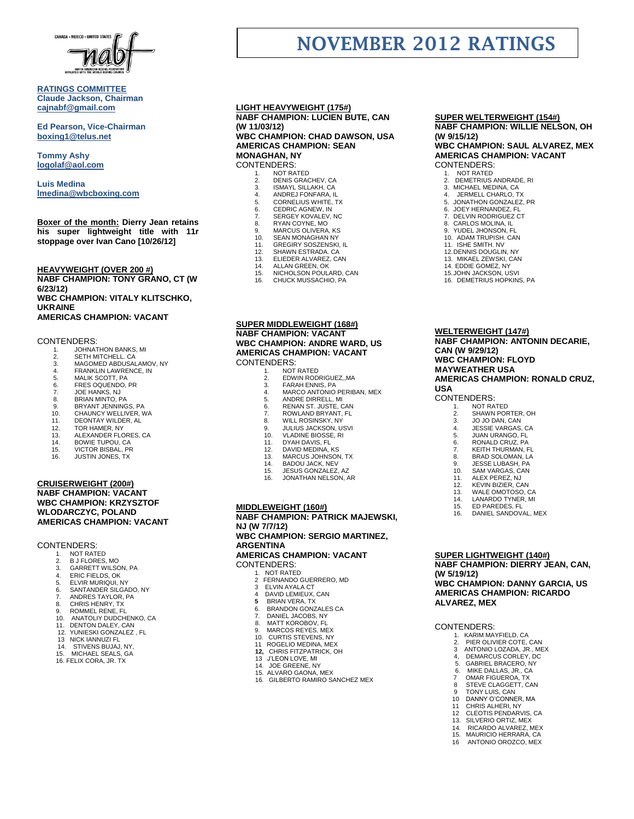

#### **RATINGS COMMITTEE Claude Jackson, Chairman [cajnabf@gmail.com](mailto:cajnabf@gmail.com)**

**Ed Pearson, Vice-Chairman boxing1@telus.net**

**Tommy Ashy [logolaf@aol.com](mailto:logolaf@aol.com)**

**Luis Medina [lmedina@wbcboxing.com](mailto:lmedina@wbcboxing.com)**

**Boxer of the month: Dierry Jean retains his super lightweight title with 11r stoppage over Ivan Cano [10/26/12]**

### **HEAVYWEIGHT (OVER 200 #)**

**NABF CHAMPION: TONY GRANO, CT (W 6/23/12) WBC CHAMPION: VITALY KLITSCHKO, UKRAINE AMERICAS CHAMPION: VACANT**

#### CONTENDERS:

- 1. JOHNATHON BANKS, MI<br>2. SETH MITCHELL CA
- 
- 2. SETH MITCHELL. CA 3. MAGOMED ABDUSALAMOV, NY
- 4. FRANKLIN LAWRENCE, IN 5. MALIK SCOTT, PA
- 
- 6. FRES OQUENDO, PR<br>7. JOE HANKS. NJ
- 7. JOE HANKS, NJ 8. BRIAN MINTO, PA
- 9. BRYANT JENNINGS, PA
- CHAUNCY WELLIVER, WA
- 11. DEONTAY WILDER, AL.<br>12. TOR HAMER, NY
- 12. TOR HAMER, NY 13. ALEXANDER FLORES, CA
- 
- 14. BOWIE TUPOU, CA 15. VICTOR BISBAL, PR
- 16. JUSTIN JONES, TX
- **CRUISERWEIGHT (200#) NABF CHAMPION: VACANT WBC CHAMPION: KRZYSZTOF WLODARCZYC, POLAND AMERICAS CHAMPION: VACANT**

# CONTENDERS:<br>1. NOT RATE<br>2. B J FLORE

- NOT RATED
- 2. B J FLORES, MO<br>3. GARRETT WILSO
- 3. GARRETT WILSON, PA
- 4. ERIC FIELDS, OK 5. ELVIR MURIQUI, NY
- 
- 6. SANTANDER SILGADO, NY 7. ANDRES TAYLOR, PA
- 8. CHRIS HENRY, TX
- 
- 9. ROMMEL RENE, FL<br>10 ANATOLIY DUDCH
- 10. ANATOLIY DUDCHENKO, CA<br>11. DENTON DALEY. CAN DENTON DALEY, CAN
- 12. YUNIESKI GONZALEZ , FL
- 13 NICK IANNUZI FL
- 14. STIVENS BUJAJ, NY,<br>15. MICHAEL SEALS GA
- MICHAEL SEALS, GA
- 16. FELIX CORA, JR. TX

#### **LIGHT HEAVYWEIGHT (175#) NABF CHAMPION: LUCIEN BUTE, CAN (W 11/03/12) WBC CHAMPION: CHAD DAWSON, USA**

# **AMERICAS CHAMPION: SEAN MONAGHAN, NY** CONTENDERS:

- 
- 1. NOT RATED<br>2. DENIS GRAC 2. DENIS GRACHEV, CA<br>3. ISMAYL SILLAKH, CA
- 3. ISMAYL SILLAKH, CA 4. ANDREJ FONFARA, IL
- 
- 
- 5. CORNELIUS WHITE, TX<br>6. CEDRIC AGNEW, IN<br>7. SERGEY KOVALEV, NC 6. CEDRIC AGNEW, IN<br>7. SERGEY KOVALEV, NC
- 
- 8. RYAN COYNE, MO 9. MARCUS OLIVERA, KS
- 10. SEAN MONAGHAN NY
- 11. GREGIRY SOSZENSKI, IL 12. SHAWN ESTRADA. CA
- 
- 13. ELIEDER ALVAREZ, CAN<br>14 ALLAN GREEN OK
- 14. ALLAN GREEN, OK<br>15. NICHOLSON POUL NICHOLSON POULARD, CAN
- 16. CHUCK MUSSACHIO, PA
- **SUPER MIDDLEWEIGHT (168#) NABF CHAMPION: VACANT WBC CHAMPION: ANDRE WARD, US AMERICAS CHAMPION: VACANT** CONTENDERS:
	- NOT RATED
		- 2. EDWIN RODRIGUEZ, MA<br>3. FARAH ENNIS, PA
		- 3. FARAH ENNIS, PA<br>4. MARCO ANTONIO
		- 4. MARCO ANTONIO PERIBAN, MEX 5. ANDRE DIRRELL, MI
		-
		- 6. RENAN ST. JUSTE, CAN<br>7 ROWLAND BRYANT FL ROWLAND BRYANT, FL
		-
		- 8. WILL ROSINSKY, NY<br>9. JULIUS JACKSON, U
	- 9. JULIUS JACKSON, USVI 10. VLADINE BIOSSE, RI
	-
	- 11. DYAH DAVIS, FL<br>12. DAVID MEDINA 12. DAVID MEDINA, KS
	-
	- 13. MARCUS JOHNSON, TX<br>14. BADOU JACK, NEV
	- 14. BADOU JACK, NEV<br>15. JESUS GONZALEZ
	- 15. JESUS GONZALEZ, AZ<br>16. JONATHAN NELSON. A
	- 16. JONATHAN NELSON, AR

#### . **MIDDLEWEIGHT (160#)**

**NABF CHAMPION: PATRICK MAJEWSKI, NJ (W 7/7/12) WBC CHAMPION: SERGIO MARTINEZ, ARGENTINA AMERICAS CHAMPION: VACANT** CONTENDERS: 1. NOT RATED

- 2 FERNANDO GUERRERO, MD 3 ELVIN AYALA CT
- 4 DAVID LEMIEUX, CAN
- 
- **5** BRIAN VERA, TX<br>6. BRANDON GONZ 6. BRANDON GONZALES CA
- 7. DANIEL JACOBS, NY<br>8. MATT KOROBOV, FL
- 8. MATT KOROBOV, FL
- 9. MARCOS REYES, MEX<br>10. CURTIS STEVENS, NY CURTIS STEVENS, NY
- 11 ROGELIO MEDINA, MEX
- **12,** CHRIS FITZPATRICK, OH 13 J'LEON LOVE, MI
	-
	- 14. JOE GREENE, NY 15. ALVARO GAONA, MEX
	- 16. GILBERTO RAMIRO SANCHEZ MEX

# **SUPER WELTERWEIGHT (154#) NABF CHAMPION: WILLIE NELSON, OH**

# **(W 9/15/12) WBC CHAMPION: SAUL ALVAREZ, MEX**

# **AMERICAS CHAMPION: VACANT** CONTENDERS:

1. NOT RATED<br>2. DEMETRIUS.

**NOVEMBER 2012 RATINGS**

- 2. DEMETRIUS ANDRADE, RI<br>3. MICHAEL MEDINA, CA
- 3. MICHAEL MEDINA, CA 4. JERMELL CHARLO, TX
- 5. JONATHON GONZALEZ, PR
- 
- 6. JOEY HERNANDEZ, FL 7. DELVIN RODRIGUEZ CT
- 8. CARLOS MOLINA, IL
- 9. YUDEL JHONSON, FL
- 10. ADAM TRUPISH. CAN 11. ISHE SMITH. NV
- 12.DENNIS DOUGLIN, NY 13. MIKAEL ZEWSKI, CAN 14. EDDIE GOMEZ, NY

15.JOHN JACKSON, USVI 16. DEMETRIUS HOPKINS, PA

**WELTERWEIGHT (147#)**

**CAN (W 9/29/12) WBC CHAMPION: FLOYD MAYWEATHER USA**

CONTENDERS:<br>1. NOT RAY 1. NOT RATED<br>2 SHAWN POR

**USA**

**NABF CHAMPION: ANTONIN DECARIE,** 

**AMERICAS CHAMPION: RONALD CRUZ,** 

SHAWN PORTER, OH 3. JO JO DAN, CAN<br>4. JESSIE VARGAS. 4. JESSIE VARGAS, CA 5. JUAN URANGO, FL 6. **RONALD CRUZ, PA**<br>7 **KEITH THURMAN** KEITH THURMAN, FL 8. BRAD SOLOMAN, LA<br>9. JESSE LUBASH, PA 9. JESSE LUBASH, PA<br>10. SAM VARGAS CAN 10. SAM VARGAS, CAN<br>11. ALEX PEREZ, NJ 11. ALEX PEREZ, NJ<br>12. KEVIN BIZIER CA 12. KEVIN BIZIER, CAN 13. WALE OMOTOSO, CA<br>14. LANARDO TYNER, MI 14. LANARDO TYNER, MI<br>15. ED PAREDES EL 15. ED PAREDES, FL<br>16. DANIEL SANDOV

DANIEL SANDOVAL, MEX

**NABF CHAMPION: DIERRY JEAN, CAN,** 

**WBC CHAMPION: DANNY GARCIA, US AMERICAS CHAMPION: RICARDO** 

**SUPER LIGHTWEIGHT (140#)**

 1. KARIM MAYFIELD, CA 2. PIER OLIVIER COTE, CAN 3 ANTONIO LOZADA, JR., MEX 4, DEMARCUS CORLEY, DC 5. GABRIEL BRACERO, NY 6. MIKE DALLAS, JR., CA 7 OMAR FIGUEROA, TX 8 STEVE CLAGGETT, CAN 9 TONY LUIS, CAN<br>10 DANNY O'CONNE DANNY O'CONNER, MA 11 CHRIS ALHERI, NY 12 CLEOTIS PENDARVIS, CA 13. SILVERIO ORTIZ, MEX 14. RICARDO ALVAREZ, MEX<br>14. RICARDO ALVAREZ, MEX<br>15. MAURICIO HERRARA. CA MAURICIO HERRARA, CA 16 ANTONIO OROZCO, MEX

**(W 5/19/12)**

**ALVAREZ, MEX**

CONTENDERS: